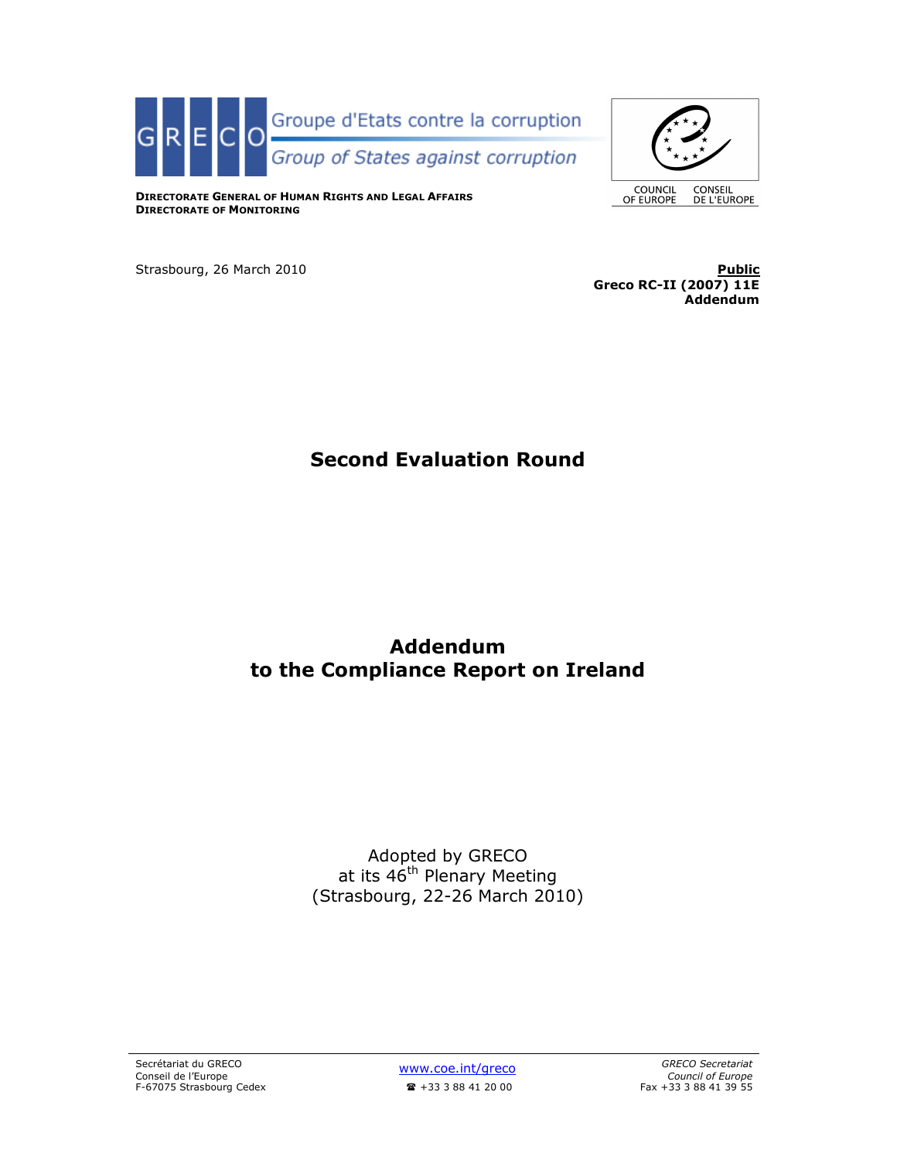



DIRECTORATE GENERAL OF HUMAN RIGHTS AND LEGAL AFFAIRS DIRECTORATE OF MONITORING

Strasbourg, 26 March 2010 Public

Greco RC-II (2007) 11E Addendum

# Second Evaluation Round

# Addendum to the Compliance Report on Ireland

Adopted by GRECO at its 46<sup>th</sup> Plenary Meeting (Strasbourg, 22-26 March 2010)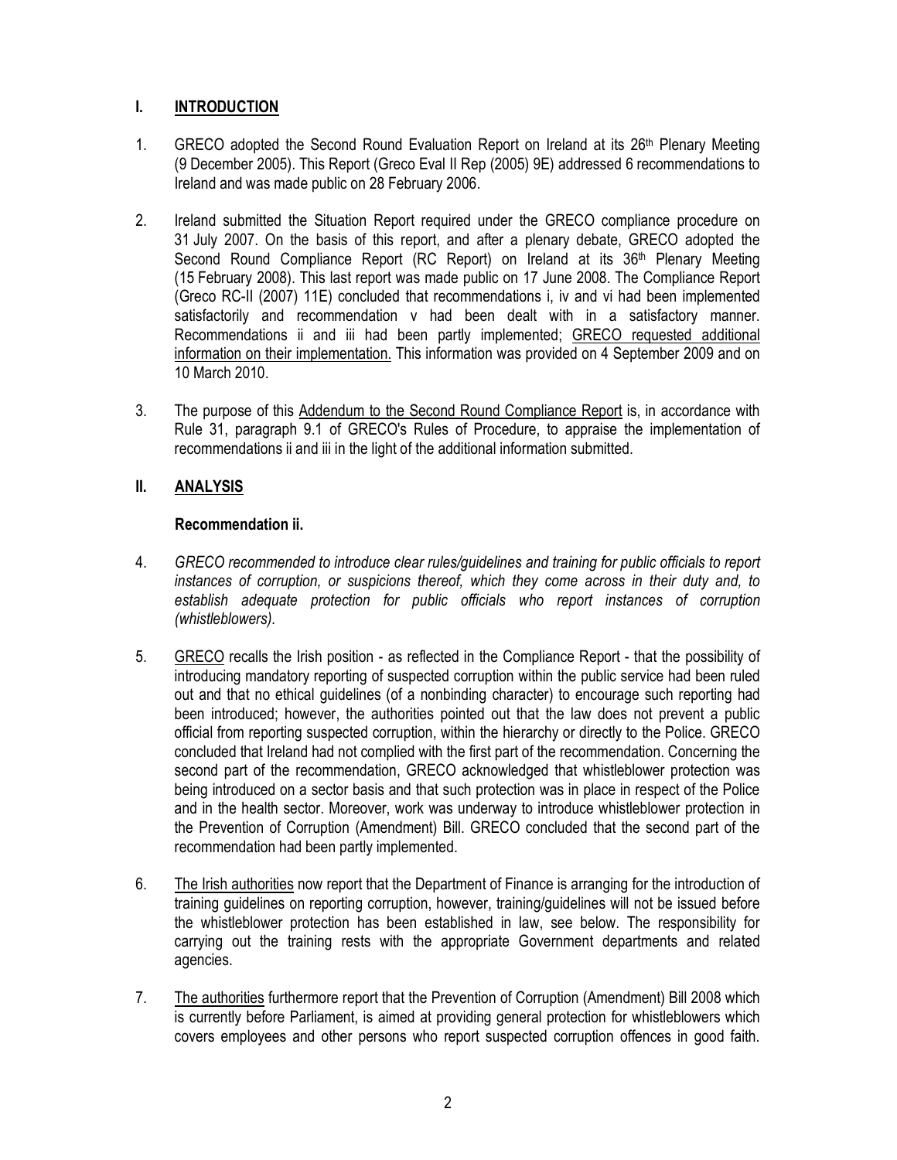## I. INTRODUCTION

- 1. GRECO adopted the Second Round Evaluation Report on Ireland at its 26<sup>th</sup> Plenary Meeting (9 December 2005). This Report (Greco Eval II Rep (2005) 9E) addressed 6 recommendations to Ireland and was made public on 28 February 2006.
- 2. Ireland submitted the Situation Report required under the GRECO compliance procedure on 31 July 2007. On the basis of this report, and after a plenary debate, GRECO adopted the Second Round Compliance Report (RC Report) on Ireland at its 36<sup>th</sup> Plenary Meeting (15 February 2008). This last report was made public on 17 June 2008. The Compliance Report (Greco RC-II (2007) 11E) concluded that recommendations i, iv and vi had been implemented satisfactorily and recommendation v had been dealt with in a satisfactory manner. Recommendations ii and iii had been partly implemented; GRECO requested additional information on their implementation. This information was provided on 4 September 2009 and on 10 March 2010.
- 3. The purpose of this Addendum to the Second Round Compliance Report is, in accordance with Rule 31, paragraph 9.1 of GRECO's Rules of Procedure, to appraise the implementation of recommendations ii and iii in the light of the additional information submitted.

## II. ANALYSIS

### Recommendation ii.

- 4. GRECO recommended to introduce clear rules/guidelines and training for public officials to report instances of corruption, or suspicions thereof, which they come across in their duty and, to establish adequate protection for public officials who report instances of corruption (whistleblowers).
- 5. GRECO recalls the Irish position as reflected in the Compliance Report that the possibility of introducing mandatory reporting of suspected corruption within the public service had been ruled out and that no ethical guidelines (of a nonbinding character) to encourage such reporting had been introduced; however, the authorities pointed out that the law does not prevent a public official from reporting suspected corruption, within the hierarchy or directly to the Police. GRECO concluded that Ireland had not complied with the first part of the recommendation. Concerning the second part of the recommendation, GRECO acknowledged that whistleblower protection was being introduced on a sector basis and that such protection was in place in respect of the Police and in the health sector. Moreover, work was underway to introduce whistleblower protection in the Prevention of Corruption (Amendment) Bill. GRECO concluded that the second part of the recommendation had been partly implemented.
- 6. The Irish authorities now report that the Department of Finance is arranging for the introduction of training guidelines on reporting corruption, however, training/guidelines will not be issued before the whistleblower protection has been established in law, see below. The responsibility for carrying out the training rests with the appropriate Government departments and related agencies.
- 7. The authorities furthermore report that the Prevention of Corruption (Amendment) Bill 2008 which is currently before Parliament, is aimed at providing general protection for whistleblowers which covers employees and other persons who report suspected corruption offences in good faith.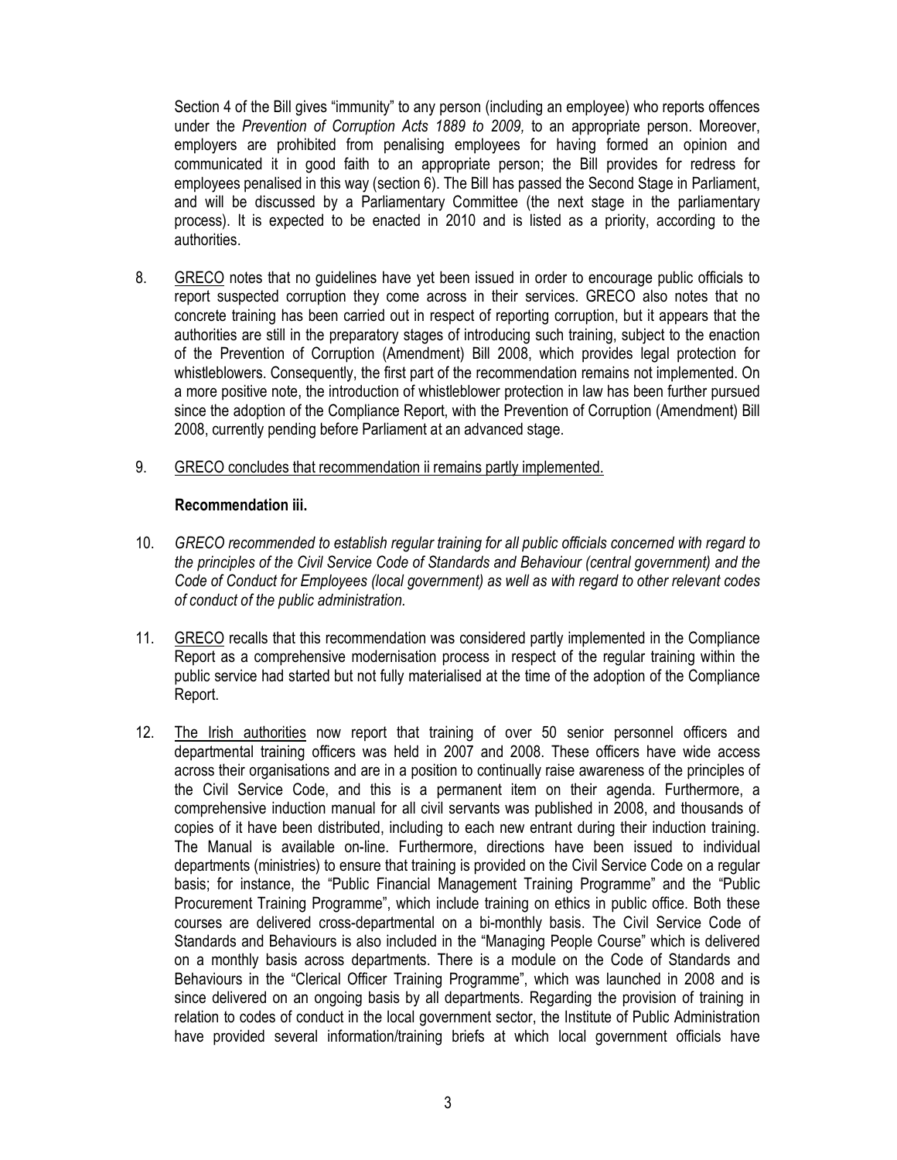Section 4 of the Bill gives "immunity" to any person (including an employee) who reports offences under the Prevention of Corruption Acts 1889 to 2009, to an appropriate person. Moreover, employers are prohibited from penalising employees for having formed an opinion and communicated it in good faith to an appropriate person; the Bill provides for redress for employees penalised in this way (section 6). The Bill has passed the Second Stage in Parliament, and will be discussed by a Parliamentary Committee (the next stage in the parliamentary process). It is expected to be enacted in 2010 and is listed as a priority, according to the authorities.

- 8. GRECO notes that no guidelines have yet been issued in order to encourage public officials to report suspected corruption they come across in their services. GRECO also notes that no concrete training has been carried out in respect of reporting corruption, but it appears that the authorities are still in the preparatory stages of introducing such training, subject to the enaction of the Prevention of Corruption (Amendment) Bill 2008, which provides legal protection for whistleblowers. Consequently, the first part of the recommendation remains not implemented. On a more positive note, the introduction of whistleblower protection in law has been further pursued since the adoption of the Compliance Report, with the Prevention of Corruption (Amendment) Bill 2008, currently pending before Parliament at an advanced stage.
- 9. GRECO concludes that recommendation ii remains partly implemented.

#### Recommendation iii.

- 10. GRECO recommended to establish regular training for all public officials concerned with regard to the principles of the Civil Service Code of Standards and Behaviour (central government) and the Code of Conduct for Employees (local government) as well as with regard to other relevant codes of conduct of the public administration.
- 11. GRECO recalls that this recommendation was considered partly implemented in the Compliance Report as a comprehensive modernisation process in respect of the regular training within the public service had started but not fully materialised at the time of the adoption of the Compliance Report.
- 12. The Irish authorities now report that training of over 50 senior personnel officers and departmental training officers was held in 2007 and 2008. These officers have wide access across their organisations and are in a position to continually raise awareness of the principles of the Civil Service Code, and this is a permanent item on their agenda. Furthermore, a comprehensive induction manual for all civil servants was published in 2008, and thousands of copies of it have been distributed, including to each new entrant during their induction training. The Manual is available on-line. Furthermore, directions have been issued to individual departments (ministries) to ensure that training is provided on the Civil Service Code on a regular basis; for instance, the "Public Financial Management Training Programme" and the "Public Procurement Training Programme", which include training on ethics in public office. Both these courses are delivered cross-departmental on a bi-monthly basis. The Civil Service Code of Standards and Behaviours is also included in the "Managing People Course" which is delivered on a monthly basis across departments. There is a module on the Code of Standards and Behaviours in the "Clerical Officer Training Programme", which was launched in 2008 and is since delivered on an ongoing basis by all departments. Regarding the provision of training in relation to codes of conduct in the local government sector, the Institute of Public Administration have provided several information/training briefs at which local government officials have